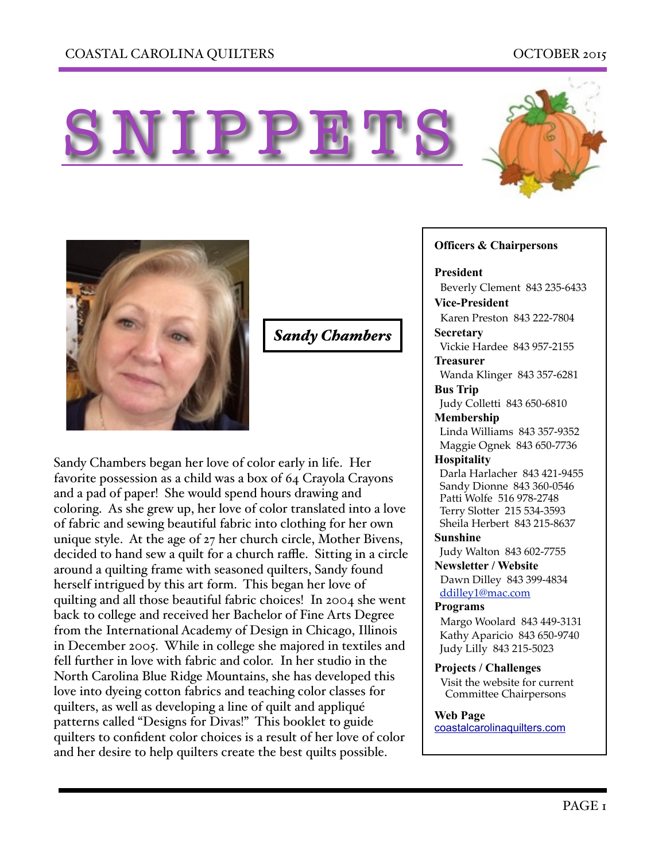





*Sandy Chambers*

Sandy Chambers began her love of color early in life. Her favorite possession as a child was a box of 64 Crayola Crayons and a pad of paper! She would spend hours drawing and coloring. As she grew up, her love of color translated into a love of fabric and sewing beautiful fabric into clothing for her own unique style. At the age of 27 her church circle, Mother Bivens, decided to hand sew a quilt for a church raffle. Sitting in a circle around a quilting frame with seasoned quilters, Sandy found herself intrigued by this art form. This began her love of quilting and all those beautiful fabric choices! In 2004 she went back to college and received her Bachelor of Fine Arts Degree from the International Academy of Design in Chicago, Illinois in December 2005. While in college she majored in textiles and fell further in love with fabric and color. In her studio in the North Carolina Blue Ridge Mountains, she has developed this love into dyeing cotton fabrics and teaching color classes for quilters, as well as developing a line of quilt and appliqué patterns called "Designs for Divas!" This booklet to guide quilters to confident color choices is a result of her love of color and her desire to help quilters create the best quilts possible.

## **Officers & Chairpersons**

**President**

 Beverly Clement 843 235-6433 **Vice-President** 

Karen Preston 843 222-7804

#### **Secretary** Vickie Hardee 843 957-2155

## **Treasurer**

 Wanda Klinger 843 357-6281 **Bus Trip** 

Judy Colletti 843 650-6810

## **Membership**

 Linda Williams 843 357-9352 Maggie Ognek 843 650-7736

## **Hospitality**

 Darla Harlacher 843 421-9455 Sandy Dionne 843 360-0546 Patti Wolfe 516 978-2748 Terry Slotter 215 534-3593 Sheila Herbert 843 215-8637

**Sunshine** 

Judy Walton 843 602-7755

**Newsletter / Website** Dawn Dilley 843 399-4834 [ddilley1@mac.com](mailto:ddilley1@mac.com)

## **Programs**

Margo Woolard 843 449-3131 Kathy Aparicio 843 650-9740 Judy Lilly 843 215-5023

**Projects / Challenges**  Visit the website for current Committee Chairpersons

## **Web Page**

[coastalcarolinaquilters.com](http://coastalcarolinaquilters.com)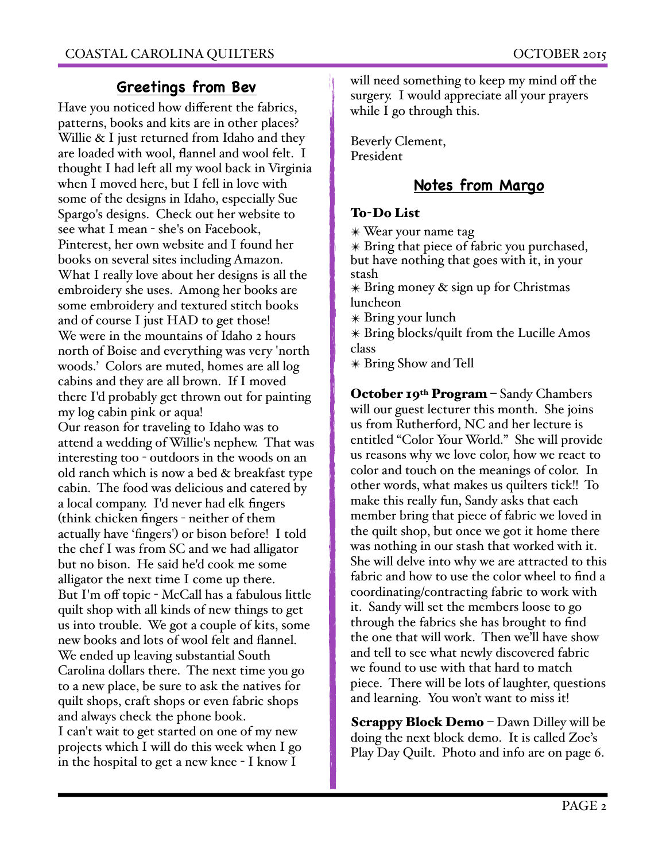## **Greetings from Bev**

Have you noticed how different the fabrics, patterns, books and kits are in other places? Willie & I just returned from Idaho and they are loaded with wool, flannel and wool felt. I thought I had left all my wool back in Virginia when I moved here, but I fell in love with some of the designs in Idaho, especially Sue Spargo's designs. Check out her website to see what I mean - she's on Facebook, Pinterest, her own website and I found her books on several sites including Amazon. What I really love about her designs is all the embroidery she uses. Among her books are some embroidery and textured stitch books and of course I just HAD to get those! We were in the mountains of Idaho 2 hours north of Boise and everything was very 'north woods.' Colors are muted, homes are all log cabins and they are all brown. If I moved there I'd probably get thrown out for painting my log cabin pink or aqua! Our reason for traveling to Idaho was to attend a wedding of Willie's nephew. That was interesting too - outdoors in the woods on an old ranch which is now a bed & breakfast type cabin. The food was delicious and catered by a local company. I'd never had elk fingers (think chicken fingers - neither of them actually have 'fingers') or bison before! I told the chef I was from SC and we had alligator but no bison. He said he'd cook me some alligator the next time I come up there. But I'm off topic - McCall has a fabulous little quilt shop with all kinds of new things to get us into trouble. We got a couple of kits, some new books and lots of wool felt and flannel. We ended up leaving substantial South Carolina dollars there. The next time you go to a new place, be sure to ask the natives for quilt shops, craft shops or even fabric shops and always check the phone book. I can't wait to get started on one of my new projects which I will do this week when I go in the hospital to get a new knee - I know I

will need something to keep my mind off the surgery. I would appreciate all your prayers while I go through this.

Beverly Clement, President

## **Notes from Margo**

## To-Do List

✴ Wear your name tag

✴ Bring that piece of fabric you purchased, but have nothing that goes with it, in your stash ✴ Bring money & sign up for Christmas

luncheon

✴ Bring your lunch

✴ Bring blocks/quilt from the Lucille Amos class

✴ Bring Show and Tell

October 19<sup>th</sup> Program - Sandy Chambers will our guest lecturer this month. She joins us from Rutherford, NC and her lecture is entitled "Color Your World." She will provide us reasons why we love color, how we react to color and touch on the meanings of color. In other words, what makes us quilters tick!! To make this really fun, Sandy asks that each member bring that piece of fabric we loved in the quilt shop, but once we got it home there was nothing in our stash that worked with it. She will delve into why we are attracted to this fabric and how to use the color wheel to find a coordinating/contracting fabric to work with it. Sandy will set the members loose to go through the fabrics she has brought to find the one that will work. Then we'll have show and tell to see what newly discovered fabric we found to use with that hard to match piece. There will be lots of laughter, questions and learning. You won't want to miss it!

Scrappy Block Demo – Dawn Dilley will be doing the next block demo. It is called Zoe's Play Day Quilt. Photo and info are on page 6.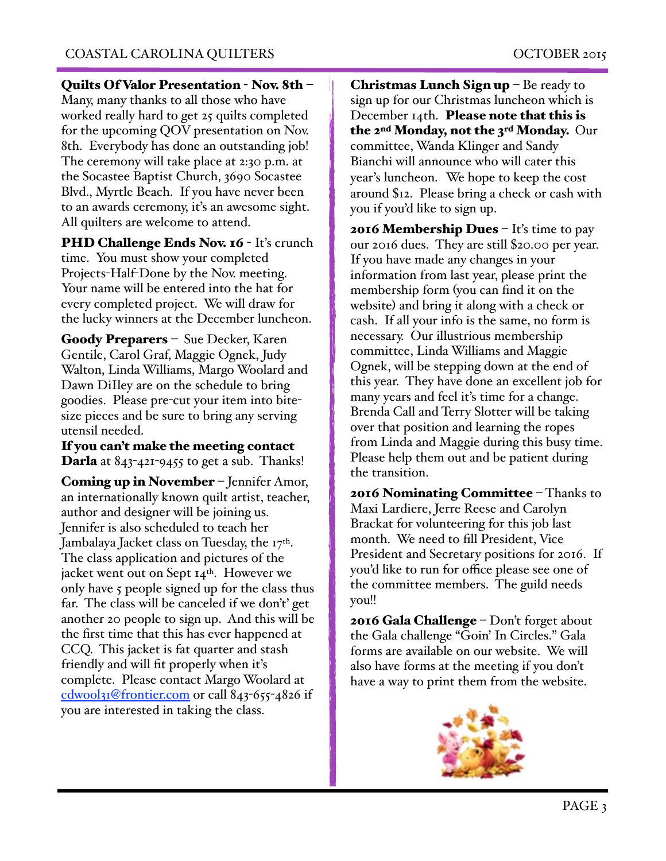Quilts Of Valor Presentation - Nov. 8th –

Many, many thanks to all those who have worked really hard to get 25 quilts completed for the upcoming QOV presentation on Nov. 8th. Everybody has done an outstanding job! The ceremony will take place at 2:30 p.m. at the Socastee Baptist Church, 3690 Socastee Blvd., Myrtle Beach. If you have never been to an awards ceremony, it's an awesome sight. All quilters are welcome to attend.

PHD Challenge Ends Nov. 16 - It's crunch time. You must show your completed Projects-Half-Done by the Nov. meeting. Your name will be entered into the hat for every completed project. We will draw for the lucky winners at the December luncheon.

Goody Preparers – Sue Decker, Karen Gentile, Carol Graf, Maggie Ognek, Judy Walton, Linda Williams, Margo Woolard and Dawn DiIley are on the schedule to bring goodies. Please pre-cut your item into bitesize pieces and be sure to bring any serving utensil needed.

If you can't make the meeting contact **Darla** at  $843-421-9455$  to get a sub. Thanks!

Coming up in November – Jennifer Amor, an internationally known quilt artist, teacher, author and designer will be joining us. Jennifer is also scheduled to teach her Jambalaya Jacket class on Tuesday, the 17<sup>th</sup>. The class application and pictures of the jacket went out on Sept 14th. However we only have 5 people signed up for the class thus far. The class will be canceled if we don't' get another 20 people to sign up. And this will be the first time that this has ever happened at CCQ. This jacket is fat quarter and stash friendly and will fit properly when it's complete. Please contact Margo Woolard at [cdwool31@frontier.com](mailto:cdwool31@frontier.com) or call 843-655-4826 if you are interested in taking the class.

Christmas Lunch Sign up  $-$  Be ready to sign up for our Christmas luncheon which is December 14th. Please note that this is the 2<sup>nd</sup> Monday, not the 3<sup>rd</sup> Monday. Our committee, Wanda Klinger and Sandy Bianchi will announce who will cater this year's luncheon. We hope to keep the cost around \$12. Please bring a check or cash with you if you'd like to sign up.

**2016 Membership Dues**  $-$  It's time to pay our 2016 dues. They are still \$20.00 per year. If you have made any changes in your information from last year, please print the membership form (you can find it on the website) and bring it along with a check or cash. If all your info is the same, no form is necessary. Our illustrious membership committee, Linda Williams and Maggie Ognek, will be stepping down at the end of this year. They have done an excellent job for many years and feel it's time for a change. Brenda Call and Terry Slotter will be taking over that position and learning the ropes from Linda and Maggie during this busy time. Please help them out and be patient during the transition.

2016 Nominating Committee – Thanks to Maxi Lardiere, Jerre Reese and Carolyn Brackat for volunteering for this job last month. We need to fill President, Vice President and Secretary positions for 2016. If you'd like to run for office please see one of the committee members. The guild needs you!!

2016 Gala Challenge – Don't forget about the Gala challenge "Goin' In Circles." Gala forms are available on our website. We will also have forms at the meeting if you don't have a way to print them from the website.

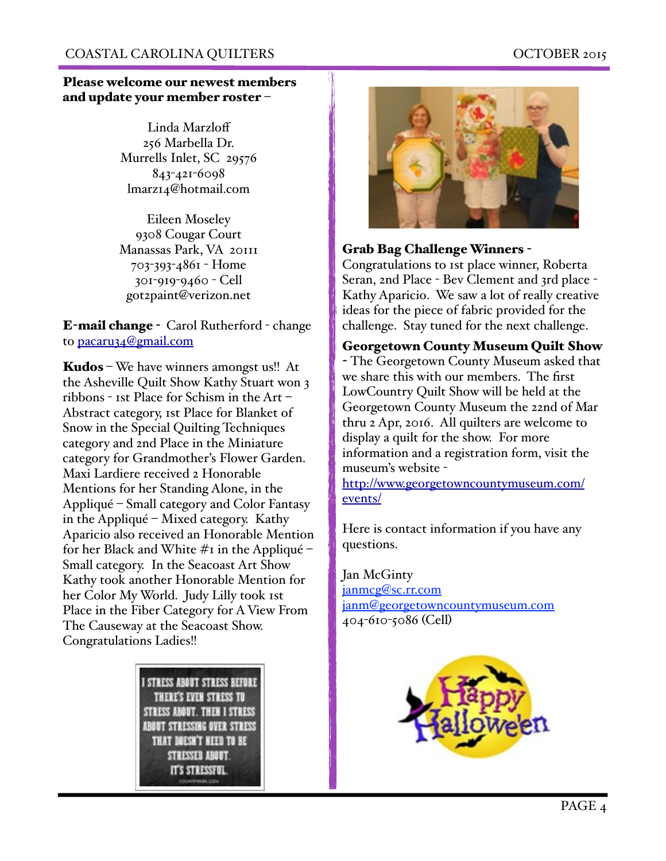## Please welcome our newest members and update your member roster –

Linda Marzloff 256 Marbella Dr. Murrells Inlet, SC 29576 843-421-6098 lmarz14@hotmail.com

Eileen Moseley 9308 Cougar Court Manassas Park, VA 20111 703-393-4861 - Home 301-919-9460 - Cell got2paint@verizon.net

E-mail change - Carol Rutherford - change to [pacaru34@gmail.com](mailto:pacaru34@gmail.com)

Kudos – We have winners amongst us!! At the Asheville Quilt Show Kathy Stuart won 3 ribbons - 1st Place for Schism in the Art – Abstract category, 1st Place for Blanket of Snow in the Special Quilting Techniques category and 2nd Place in the Miniature category for Grandmother's Flower Garden. Maxi Lardiere received 2 Honorable Mentions for her Standing Alone, in the Appliqué – Small category and Color Fantasy in the Appliqué – Mixed category. Kathy Aparicio also received an Honorable Mention for her Black and White  $\#$ I in the Appliqué – Small category. In the Seacoast Art Show Kathy took another Honorable Mention for her Color My World. Judy Lilly took 1st Place in the Fiber Category for A View From The Causeway at the Seacoast Show. Congratulations Ladies!!





## Grab Bag Challenge Winners -

Congratulations to 1st place winner, Roberta Seran, 2nd Place - Bev Clement and 3rd place - Kathy Aparicio. We saw a lot of really creative ideas for the piece of fabric provided for the challenge. Stay tuned for the next challenge.

## Georgetown County Museum Quilt Show

- The Georgetown County Museum asked that we share this with our members. The first LowCountry Quilt Show will be held at the Georgetown County Museum the 22nd of Mar thru 2 Apr, 2016. All quilters are welcome to display a quilt for the show. For more information and a registration form, visit the museum's website -

[http://www.georgetowncountymuseum.com/](http://www.georgetowncountymuseum.com/events/) events/

Here is contact information if you have any questions.

Jan McGinty [janmcg@sc.rr.com](http://janmcg2sc.rr.com/) [janm@georgetowncountymuseum.com](mailto:janm@georgetowncountymuseum.com) 404-610-5086 (Cell)"

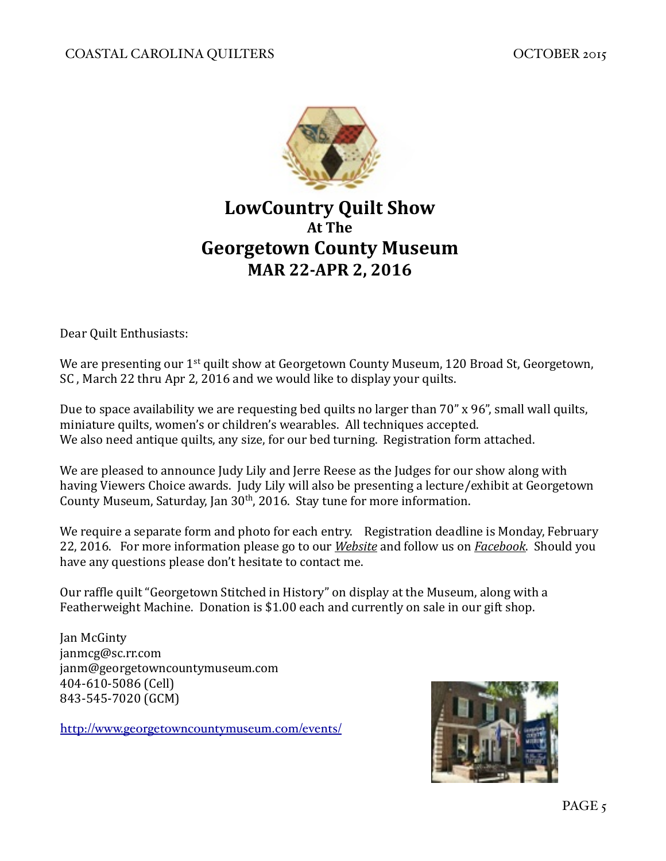

# **LowCountry Quilt Show At The Georgetown County Museum MAR 22-APR 2, 2016**

Dear Quilt Enthusiasts:

We are presenting our  $1^{st}$  quilt show at Georgetown County Museum, 120 Broad St, Georgetown, SC, March 22 thru Apr 2, 2016 and we would like to display your quilts.

Due to space availability we are requesting bed quilts no larger than  $70''$  x  $96''$ , small wall quilts, miniature quilts, women's or children's wearables. All techniques accepted. We also need antique quilts, any size, for our bed turning. Registration form attached.

We are pleased to announce Judy Lily and Jerre Reese as the Judges for our show along with having Viewers Choice awards. Judy Lily will also be presenting a lecture/exhibit at Georgetown County Museum, Saturday, Jan  $30<sup>th</sup>$ , 2016. Stay tune for more information.

We require a separate form and photo for each entry. Registration deadline is Monday, February 22, 2016. For more information please go to our *Website* and follow us on *Facebook*. Should you have any questions please don't hesitate to contact me.

Our raffle quilt "Georgetown Stitched in History" on display at the Museum, along with a Featherweight Machine. Donation is  $$1.00$  each and currently on sale in our gift shop.

Jan McGinty janmcg@sc.rr.com janm@georgetowncountymuseum.com 404-610-5086 (Cell) 843-545-7020 (GCM)

<http://www.georgetowncountymuseum.com/events/>